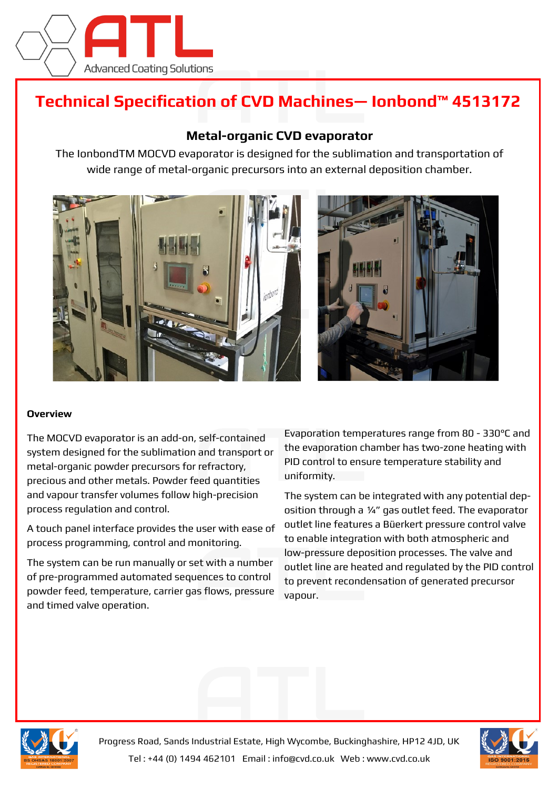

## **Technical Specification of CVD Machines— Ionbond™ 4513172**

## **Metal-organic CVD evaporator**

The IonbondTM MOCVD evaporator is designed for the sublimation and transportation of wide range of metal-organic precursors into an external deposition chamber.



## **Overview**

The MOCVD evaporator is an add-on, self-contained system designed for the sublimation and transport or metal-organic powder precursors for refractory, precious and other metals. Powder feed quantities and vapour transfer volumes follow high-precision process regulation and control.

A touch panel interface provides the user with ease of process programming, control and monitoring.

The system can be run manually or set with a number of pre-programmed automated sequences to control powder feed, temperature, carrier gas flows, pressure and timed valve operation.

Evaporation temperatures range from 80 - 330°C and the evaporation chamber has two-zone heating with PID control to ensure temperature stability and uniformity.

The system can be integrated with any potential deposition through a ¼" gas outlet feed. The evaporator outlet line features a Büerkert pressure control valve to enable integration with both atmospheric and low-pressure deposition processes. The valve and outlet line are heated and regulated by the PID control to prevent recondensation of generated precursor vapour.



Progress Road, Sands Industrial Estate, High Wycombe, Buckinghashire, HP12 4JD, UK Tel : +44 (0) 1494 462101 Email : info@cvd.co.uk Web : www.cvd.co.uk